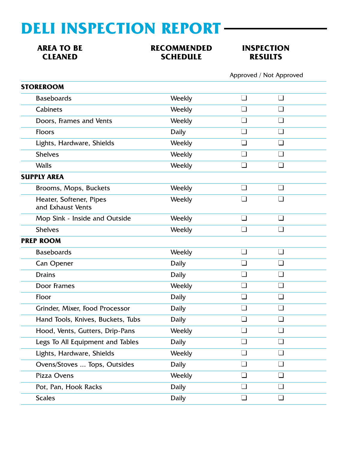## **DELI INSPECTION REPORT**

### **AREA TO BE RECOMMENDED INSPECTION<br>CLEANED CLEANED SCHEDULE RESULTS SCHEDULE**

Approved / Not Approved

| <b>Baseboards</b><br>$\Box$<br>$\Box$<br>Weekly                              |  |
|------------------------------------------------------------------------------|--|
|                                                                              |  |
| <b>Cabinets</b><br>Weekly<br>$\Box$<br>$\Box$                                |  |
| $\Box$<br>Doors, Frames and Vents<br>Weekly                                  |  |
| Floors<br><b>Daily</b><br>$\blacksquare$<br>$\blacksquare$                   |  |
| Lights, Hardware, Shields<br>Weekly<br>H<br>H                                |  |
| <b>Shelves</b><br>$\Box$<br>П<br>Weekly                                      |  |
| <b>Walls</b><br>$\Box$<br>Weekly<br>l 1                                      |  |
| <b>SUPPLY AREA</b>                                                           |  |
| $\Box$<br>$\Box$<br>Brooms, Mops, Buckets<br>Weekly                          |  |
| Heater, Softener, Pipes<br>Weekly<br>and Exhaust Vents                       |  |
| $\Box$<br>$\Box$<br>Mop Sink - Inside and Outside<br>Weekly                  |  |
| <b>Shelves</b><br>$\Box$<br>Weekly                                           |  |
| <b>PREP ROOM</b>                                                             |  |
| <b>Baseboards</b><br>Weekly<br>$\Box$<br>$\Box$                              |  |
| $\Box$<br>$\Box$<br>Daily<br>Can Opener                                      |  |
| <b>Drains</b><br><b>Daily</b><br>$\blacksquare$<br>l 1                       |  |
| Door Frames<br>Weekly<br>$\Box$<br>$\Box$                                    |  |
| Floor<br><b>Daily</b><br>$\blacksquare$<br>$\blacksquare$                    |  |
| $\Box$<br>$\Box$<br>Grinder, Mixer, Food Processor<br>Daily                  |  |
| Hand Tools, Knives, Buckets, Tubs<br>l. I<br>$\mathbf{I}$<br>Daily           |  |
| Weekly<br>Hood, Vents, Gutters, Drip-Pans                                    |  |
| Legs To All Equipment and Tables<br><b>Daily</b><br>$\Box$<br>$\blacksquare$ |  |
| Lights, Hardware, Shields<br>Weekly<br>$\blacksquare$<br>l 1                 |  |
| $\Box$<br>Ovens/Stoves  Tops, Outsides<br><b>Daily</b><br>$\Box$             |  |
| $\Box$<br>$\Box$<br>Pizza Ovens<br>Weekly                                    |  |
| $\Box$<br><b>Daily</b><br>l 1<br>Pot, Pan, Hook Racks                        |  |
| <b>Scales</b><br><b>Daily</b><br>$\Box$<br>$\Box$                            |  |